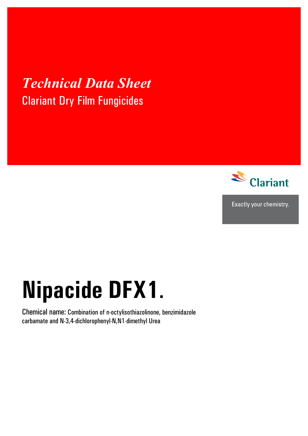## *Technical Data Sheet*  Clariant Dry Film Fungicides



Exactly your chemistry.

# **Nipacide DFX1**.

Chemical name: Combination of n-octylisothiazolinone, benzimidazole carbamate and N-3,4-dichlorophenyl-N,N1-dimethyl Urea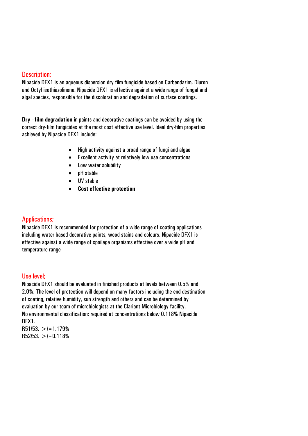#### Description;

Nipacide DFX1 is an aqueous dispersion dry film fungicide based on Carbendazim, Diuron and Octyl isothiazolinone. Nipacide DFX1 is effective against a wide range of fungal and algal species, responsible for the discoloration and degradation of surface coatings.

**Dry –film degradation** in paints and decorative coatings can be avoided by using the correct dry-film fungicides at the most cost effective use level. Ideal dry-film properties achieved by Nipacide DFX1 include:

- High activity against a broad range of fungi and algae
- Excellent activity at relatively low use concentrations
- Low water solubility
- pH stable
- UV stable
- **Cost effective protection**

#### Applications;

Nipacide DFX1 is recommended for protection of a wide range of coating applications including water based decorative paints, wood stains and colours. Nipacide DFX1 is effective against a wide range of spoilage organisms effective over a wide pH and temperature range

#### Use level;

Nipacide DFX1 should be evaluated in finished products at levels between 0.5% and 2.0%. The level of protection will depend on many factors including the end destination of coating, relative humidity, sun strength and others and can be determined by evaluation by our team of microbiologists at the Clariant Microbiology facility. No environmental classification: required at concentrations below 0.118% Nipacide DFX1.

 $R51/53. > = 1.179%$  $R52/53. > |-0.118%$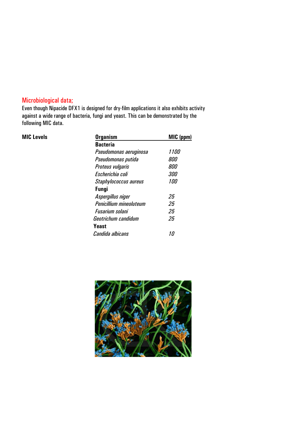### Microbiological data;

Even though Nipacide DFX1 is designed for dry-film applications it also exhibits activity against a wide range of bacteria, fungi and yeast. This can be demonstrated by the following MIC data.

| <b>MIC Levels</b> | <b>Organism</b>         | MIC (ppm)   |
|-------------------|-------------------------|-------------|
|                   | <b>Bacteria</b>         |             |
|                   | Pseudomonas aeruginosa  | <i>1100</i> |
|                   | Pseudomonas putida      | 800         |
|                   | Proteus vulgaris        | 800         |
|                   | Escherichia coli        | <i>300</i>  |
|                   | Staphylococcus aureus   | <i>100</i>  |
|                   | <b>Fungi</b>            |             |
|                   | Aspergillus niger       | 25          |
|                   | Penicillium mineoluteum | 25          |
|                   | Fusarium solani         | 25          |
|                   | Geotrichum candidum     | 25          |
|                   | Yeast                   |             |
|                   | Candida albicans        | 10          |
|                   |                         |             |

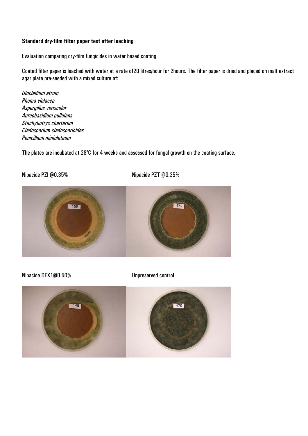#### **Standard dry-film filter paper test after leaching**

Evaluation comparing dry-film fungicides in water based coating

Coated filter paper is leached with water at a rate of20 litres/hour for 2hours. The filter paper is dried and placed on malt extract agar plate pre-seeded with a mixed culture of:

*Ulocladium atrum Phoma violacea Aspergillus veriscolor Aureobasidium pullulans Stachybotrys chartarum Cladosporium cladosporioides Penicillium minioluteum* 

The plates are incubated at 28°C for 4 weeks and assessed for fungal growth on the coating surface.

Nipacide PZI @0.35% Nipacide PZT @0.35%



Nipacide DFX1@0.50% Unpreserved control